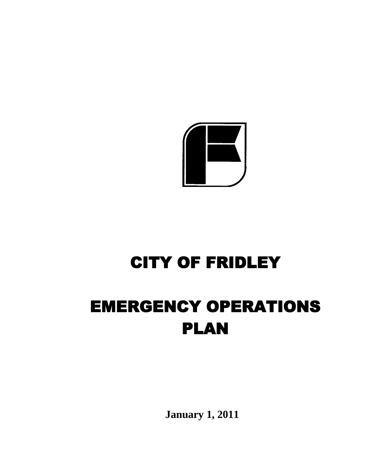

# CITY OF FRIDLEY

# EMERGENCY OPERATIONS PLAN

**J**  $\frac{1}{2}$ **January 1, 2011**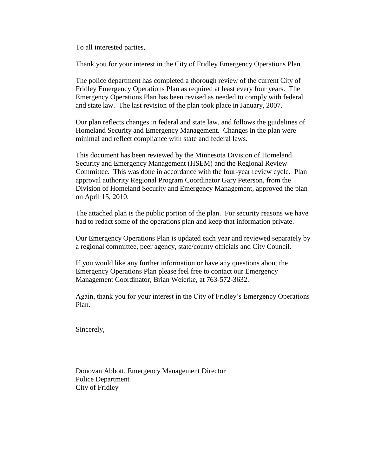To all interested parties,

Thank you for your interest in the City of Fridley Emergency Operations Plan.

The police department has completed a thorough review of the current City of Fridley Emergency Operations Plan as required at least every four years. The Emergency Operations Plan has been revised as needed to comply with federal and state law. The last revision of the plan took place in January, 2007.

Our plan reflects changes in federal and state law, and follows the guidelines of Homeland Security and Emergency Management. Changes in the plan were minimal and reflect compliance with state and federal laws.

This document has been reviewed by the Minnesota Division of Homeland Security and Emergency Management (HSEM) and the Regional Review Committee. This was done in accordance with the four-year review cycle. Plan approval authority Regional Program Coordinator Gary Peterson, from the Division of Homeland Security and Emergency Management, approved the plan on April 15, 2010.

The attached plan is the public portion of the plan. For security reasons we have had to redact some of the operations plan and keep that information private.

Our Emergency Operations Plan is updated each year and reviewed separately by a regional committee, peer agency, state/county officials and City Council.

If you would like any further information or have any questions about the Emergency Operations Plan please feel free to contact our Emergency Management Coordinator, Brian Weierke, at 763-572-3632.

Again, thank you for your interest in the City of Fridley's Emergency Operations Plan.

Sincerely,

Donovan Abbott, Emergency Management Director Police Department City of Fridley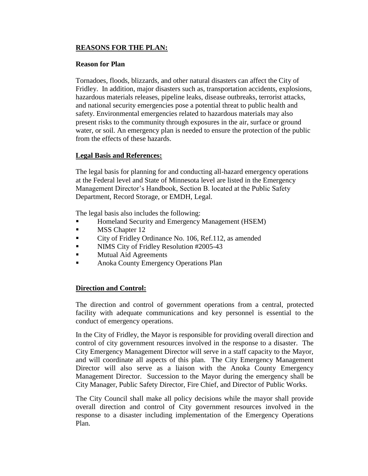# **REASONS FOR THE PLAN:**

#### **Reason for Plan**

Tornadoes, floods, blizzards, and other natural disasters can affect the City of Fridley. In addition, major disasters such as, transportation accidents, explosions, hazardous materials releases, pipeline leaks, disease outbreaks, terrorist attacks, and national security emergencies pose a potential threat to public health and safety. Environmental emergencies related to hazardous materials may also present risks to the community through exposures in the air, surface or ground water, or soil. An emergency plan is needed to ensure the protection of the public from the effects of these hazards.

# **Legal Basis and References:**

The legal basis for planning for and conducting all-hazard emergency operations at the Federal level and State of Minnesota level are listed in the Emergency Management Director's Handbook, Section B. located at the Public Safety Department, Record Storage, or EMDH, Legal.

The legal basis also includes the following:

- Homeland Security and Emergency Management (HSEM)
- MSS Chapter 12
- City of Fridley Ordinance No. 106, Ref.112, as amended
- NIMS City of Fridley Resolution #2005-43
- Mutual Aid Agreements
- **Anoka County Emergency Operations Plan**

### **Direction and Control:**

The direction and control of government operations from a central, protected facility with adequate communications and key personnel is essential to the conduct of emergency operations.

In the City of Fridley, the Mayor is responsible for providing overall direction and control of city government resources involved in the response to a disaster. The City Emergency Management Director will serve in a staff capacity to the Mayor, and will coordinate all aspects of this plan. The City Emergency Management Director will also serve as a liaison with the Anoka County Emergency Management Director. Succession to the Mayor during the emergency shall be City Manager, Public Safety Director, Fire Chief, and Director of Public Works.

The City Council shall make all policy decisions while the mayor shall provide overall direction and control of City government resources involved in the response to a disaster including implementation of the Emergency Operations Plan.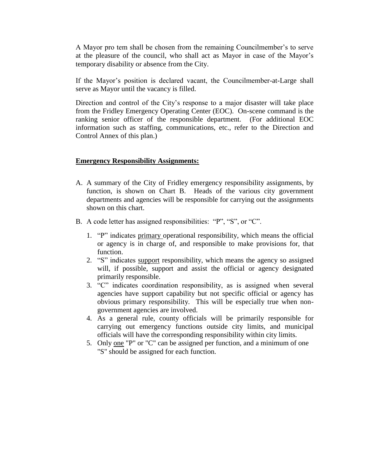A Mayor pro tem shall be chosen from the remaining Councilmember's to serve at the pleasure of the council, who shall act as Mayor in case of the Mayor's temporary disability or absence from the City.

If the Mayor's position is declared vacant, the Councilmember-at-Large shall serve as Mayor until the vacancy is filled.

Direction and control of the City's response to a major disaster will take place from the Fridley Emergency Operating Center (EOC). On-scene command is the ranking senior officer of the responsible department. (For additional EOC information such as staffing, communications, etc., refer to the Direction and Control Annex of this plan.)

### **Emergency Responsibility Assignments:**

- A. A summary of the City of Fridley emergency responsibility assignments, by function, is shown on Chart B. Heads of the various city government departments and agencies will be responsible for carrying out the assignments shown on this chart.
- B. A code letter has assigned responsibilities: "P", "S", or "C".
	- 1. "P" indicates primary operational responsibility, which means the official or agency is in charge of, and responsible to make provisions for, that function.
	- 2. "S" indicates support responsibility, which means the agency so assigned will, if possible, support and assist the official or agency designated primarily responsible.
	- 3. "C" indicates coordination responsibility, as is assigned when several agencies have support capability but not specific official or agency has obvious primary responsibility. This will be especially true when nongovernment agencies are involved.
	- 4. As a general rule, county officials will be primarily responsible for carrying out emergency functions outside city limits, and municipal officials will have the corresponding responsibility within city limits.
	- 5. Only one "P" or "C" can be assigned per function, and a minimum of one "S" should be assigned for each function.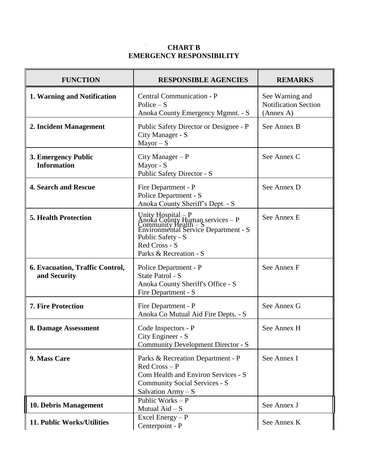# **CHART B EMERGENCY RESPONSIBILITY**

| <b>FUNCTION</b>                                        | <b>RESPONSIBLE AGENCIES</b>                                                                                                                                                           | <b>REMARKS</b>                                              |
|--------------------------------------------------------|---------------------------------------------------------------------------------------------------------------------------------------------------------------------------------------|-------------------------------------------------------------|
| 1. Warning and Notification                            | Central Communication - P<br>Police $-S$<br>Anoka County Emergency Mgmnt. - S                                                                                                         | See Warning and<br><b>Notification Section</b><br>(Annex A) |
| 2. Incident Management                                 | Public Safety Director or Designee - P<br>City Manager - S<br>$Mayor-S$                                                                                                               | See Annex B                                                 |
| 3. Emergency Public<br><b>Information</b>              | City Manager $- P$<br>Mayor - S<br>Public Safety Director - S                                                                                                                         | See Annex C                                                 |
| <b>4. Search and Rescue</b>                            | Fire Department - P<br>Police Department - S<br>Anoka County Sheriff's Dept. - S                                                                                                      | See Annex D                                                 |
| <b>5. Health Protection</b>                            | Unity Hospital – P<br>Anoka County Human services – P<br>Community Health – S<br>Environmental Service Department - S<br>Public Safety - S<br>Red Cross - S<br>Parks & Recreation - S | See Annex E                                                 |
| <b>6. Evacuation, Traffic Control,</b><br>and Security | Police Department - P<br>State Patrol - S<br>Anoka County Sheriff's Office - S<br>Fire Department - S                                                                                 | See Annex F                                                 |
| <b>7. Fire Protection</b>                              | Fire Department - P<br>Anoka Co Mutual Aid Fire Depts. - S                                                                                                                            | See Annex G                                                 |
| 8. Damage Assessment                                   | Code Inspectors - P<br>City Engineer - S<br>Community Development Director - S                                                                                                        | See Annex H                                                 |
| 9. Mass Care                                           | Parks & Recreation Department - P<br>$Red Cross-P$<br>Com Health and Environ Services - S<br><b>Community Social Services - S</b><br>Salvation $Army - S$                             | See Annex I                                                 |
| 10. Debris Management                                  | Public Works - P<br>Mutual Aid - S                                                                                                                                                    | See Annex J                                                 |
| 11. Public Works/Utilities                             | Excel Energy-P<br>Centerpoint - P                                                                                                                                                     | See Annex K                                                 |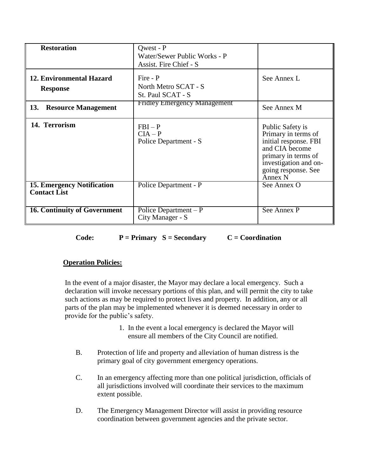| <b>Restoration</b>                                       | <b>Owest - P</b><br>Water/Sewer Public Works - P<br>Assist. Fire Chief - S |                                                                                                                                                                      |
|----------------------------------------------------------|----------------------------------------------------------------------------|----------------------------------------------------------------------------------------------------------------------------------------------------------------------|
| 12. Environmental Hazard<br><b>Response</b>              | Fire - P<br>North Metro SCAT - S<br>St. Paul SCAT - S                      | See Annex L                                                                                                                                                          |
| 13.<br><b>Resource Management</b>                        | <b>Fridley Emergency Management</b>                                        | See Annex M                                                                                                                                                          |
| 14. Terrorism                                            | $FBI - P$<br>$CIA - P$<br>Police Department - S                            | Public Safety is<br>Primary in terms of<br>initial response. FBI<br>and CIA become<br>primary in terms of<br>investigation and on-<br>going response. See<br>Annex N |
| <b>15. Emergency Notification</b><br><b>Contact List</b> | Police Department - P                                                      | See Annex O                                                                                                                                                          |
| <b>16. Continuity of Government</b>                      | Police Department $-P$<br>City Manager - S                                 | See Annex P                                                                                                                                                          |

**Code: P = Primary S = Secondary C = Coordination**

# **Operation Policies:**

In the event of a major disaster, the Mayor may declare a local emergency. Such a declaration will invoke necessary portions of this plan, and will permit the city to take such actions as may be required to protect lives and property. In addition, any or all parts of the plan may be implemented whenever it is deemed necessary in order to provide for the public's safety.

- 1. In the event a local emergency is declared the Mayor will ensure all members of the City Council are notified.
- B. Protection of life and property and alleviation of human distress is the primary goal of city government emergency operations.
- C. In an emergency affecting more than one political jurisdiction, officials of all jurisdictions involved will coordinate their services to the maximum extent possible.
- D. The Emergency Management Director will assist in providing resource coordination between government agencies and the private sector.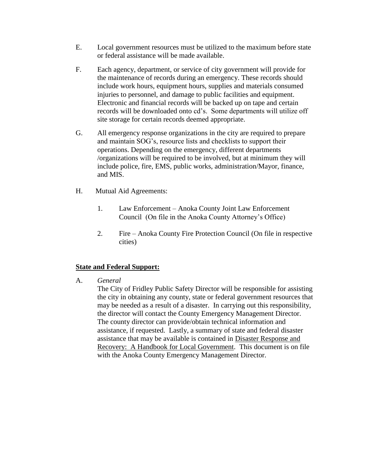- E. Local government resources must be utilized to the maximum before state or federal assistance will be made available.
- F. Each agency, department, or service of city government will provide for the maintenance of records during an emergency. These records should include work hours, equipment hours, supplies and materials consumed injuries to personnel, and damage to public facilities and equipment. Electronic and financial records will be backed up on tape and certain records will be downloaded onto cd's. Some departments will utilize off site storage for certain records deemed appropriate.
- G. All emergency response organizations in the city are required to prepare and maintain SOG's, resource lists and checklists to support their operations. Depending on the emergency, different departments /organizations will be required to be involved, but at minimum they will include police, fire, EMS, public works, administration/Mayor, finance, and MIS.
- H. Mutual Aid Agreements:
	- 1. Law Enforcement Anoka County Joint Law Enforcement Council (On file in the Anoka County Attorney's Office)
	- 2. Fire Anoka County Fire Protection Council (On file in respective cities)

# **State and Federal Support:**

A. *General* 

The City of Fridley Public Safety Director will be responsible for assisting the city in obtaining any county, state or federal government resources that may be needed as a result of a disaster. In carrying out this responsibility, the director will contact the County Emergency Management Director. The county director can provide/obtain technical information and assistance, if requested. Lastly, a summary of state and federal disaster assistance that may be available is contained in Disaster Response and Recovery: A Handbook for Local Government. This document is on file with the Anoka County Emergency Management Director.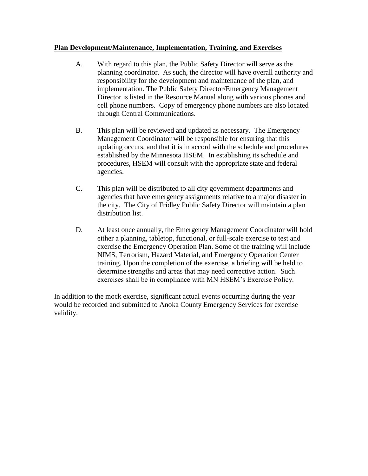# **Plan Development/Maintenance, Implementation, Training, and Exercises**

- A. With regard to this plan, the Public Safety Director will serve as the planning coordinator. As such, the director will have overall authority and responsibility for the development and maintenance of the plan, and implementation. The Public Safety Director/Emergency Management Director is listed in the Resource Manual along with various phones and cell phone numbers. Copy of emergency phone numbers are also located through Central Communications.
- B. This plan will be reviewed and updated as necessary. The Emergency Management Coordinator will be responsible for ensuring that this updating occurs, and that it is in accord with the schedule and procedures established by the Minnesota HSEM. In establishing its schedule and procedures, HSEM will consult with the appropriate state and federal agencies.
- C. This plan will be distributed to all city government departments and agencies that have emergency assignments relative to a major disaster in the city. The City of Fridley Public Safety Director will maintain a plan distribution list.
- D. At least once annually, the Emergency Management Coordinator will hold either a planning, tabletop, functional, or full-scale exercise to test and exercise the Emergency Operation Plan. Some of the training will include NIMS, Terrorism, Hazard Material, and Emergency Operation Center training. Upon the completion of the exercise, a briefing will be held to determine strengths and areas that may need corrective action. Such exercises shall be in compliance with MN HSEM's Exercise Policy.

In addition to the mock exercise, significant actual events occurring during the year would be recorded and submitted to Anoka County Emergency Services for exercise validity.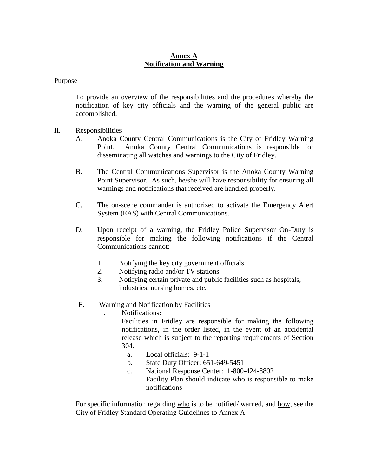# **Annex A Notification and Warning**

### Purpose

To provide an overview of the responsibilities and the procedures whereby the notification of key city officials and the warning of the general public are accomplished.

- II. Responsibilities
	- A. Anoka County Central Communications is the City of Fridley Warning Point. Anoka County Central Communications is responsible for disseminating all watches and warnings to the City of Fridley.
	- B. The Central Communications Supervisor is the Anoka County Warning Point Supervisor. As such, he/she will have responsibility for ensuring all warnings and notifications that received are handled properly.
	- C. The on-scene commander is authorized to activate the Emergency Alert System (EAS) with Central Communications.
	- D. Upon receipt of a warning, the Fridley Police Supervisor On-Duty is responsible for making the following notifications if the Central Communications cannot:
		- 1. Notifying the key city government officials.
		- 2. Notifying radio and/or TV stations.
		- 3. Notifying certain private and public facilities such as hospitals, industries, nursing homes, etc.
	- E. Warning and Notification by Facilities
		- 1. Notifications:

Facilities in Fridley are responsible for making the following notifications, in the order listed, in the event of an accidental release which is subject to the reporting requirements of Section 304.

- a. Local officials: 9-1-1
- b. State Duty Officer: 651-649-5451
- c. National Response Center: 1-800-424-8802 Facility Plan should indicate who is responsible to make notifications

For specific information regarding who is to be notified/ warned, and how, see the City of Fridley Standard Operating Guidelines to Annex A.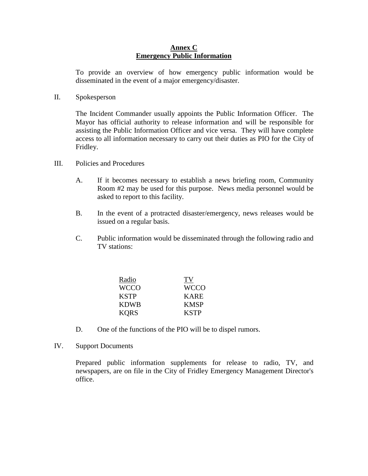### **Annex C Emergency Public Information**

To provide an overview of how emergency public information would be disseminated in the event of a major emergency/disaster.

II. Spokesperson

The Incident Commander usually appoints the Public Information Officer. The Mayor has official authority to release information and will be responsible for assisting the Public Information Officer and vice versa. They will have complete access to all information necessary to carry out their duties as PIO for the City of Fridley.

- III. Policies and Procedures
	- A. If it becomes necessary to establish a news briefing room, Community Room #2 may be used for this purpose. News media personnel would be asked to report to this facility.
	- B. In the event of a protracted disaster/emergency, news releases would be issued on a regular basis.
	- C. Public information would be disseminated through the following radio and TV stations:

| Radio       | TV          |
|-------------|-------------|
| <b>WCCO</b> | <b>WCCO</b> |
| <b>KSTP</b> | <b>KARE</b> |
| <b>KDWB</b> | <b>KMSP</b> |
| <b>KORS</b> | <b>KSTP</b> |

- D. One of the functions of the PIO will be to dispel rumors.
- IV. Support Documents

Prepared public information supplements for release to radio, TV, and newspapers, are on file in the City of Fridley Emergency Management Director's office.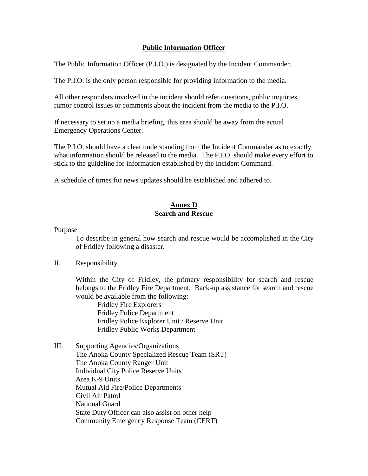# **Public Information Officer**

The Public Information Officer (P.I.O.) is designated by the Incident Commander.

The P.I.O. is the only person responsible for providing information to the media.

All other responders involved in the incident should refer questions, public inquiries, rumor control issues or comments about the incident from the media to the P.I.O.

If necessary to set up a media briefing, this area should be away from the actual Emergency Operations Center.

The P.I.O. should have a clear understanding from the Incident Commander as to exactly what information should be released to the media. The P.I.O. should make every effort to stick to the guideline for information established by the Incident Command.

A schedule of times for news updates should be established and adhered to.

# **Annex D Search and Rescue**

Purpose

To describe in general how search and rescue would be accomplished in the City of Fridley following a disaster.

### II. Responsibility

Within the City of Fridley, the primary responsibility for search and rescue belongs to the Fridley Fire Department. Back-up assistance for search and rescue would be available from the following:

Fridley Fire Explorers Fridley Police Department Fridley Police Explorer Unit / Reserve Unit Fridley Public Works Department

III. Supporting Agencies/Organizations The Anoka County Specialized Rescue Team (SRT) The Anoka County Ranger Unit Individual City Police Reserve Units Area K-9 Units Mutual Aid Fire/Police Departments Civil Air Patrol National Guard State Duty Officer can also assist on other help Community Emergency Response Team (CERT)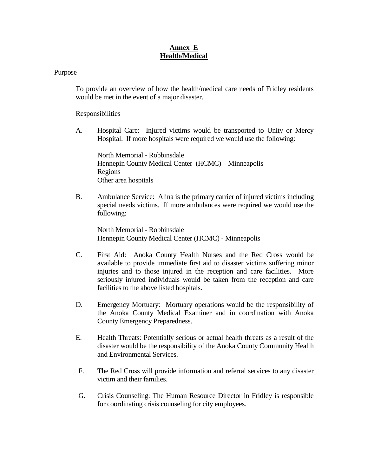# **Annex E Health/Medical**

#### Purpose

To provide an overview of how the health/medical care needs of Fridley residents would be met in the event of a major disaster.

Responsibilities

A. Hospital Care: Injured victims would be transported to Unity or Mercy Hospital. If more hospitals were required we would use the following:

North Memorial - Robbinsdale Hennepin County Medical Center (HCMC) – Minneapolis Regions Other area hospitals

B. Ambulance Service: Alina is the primary carrier of injured victims including special needs victims. If more ambulances were required we would use the following:

North Memorial - Robbinsdale Hennepin County Medical Center (HCMC) - Minneapolis

- C. First Aid: Anoka County Health Nurses and the Red Cross would be available to provide immediate first aid to disaster victims suffering minor injuries and to those injured in the reception and care facilities. More seriously injured individuals would be taken from the reception and care facilities to the above listed hospitals.
- D. Emergency Mortuary: Mortuary operations would be the responsibility of the Anoka County Medical Examiner and in coordination with Anoka County Emergency Preparedness.
- E. Health Threats: Potentially serious or actual health threats as a result of the disaster would be the responsibility of the Anoka County Community Health and Environmental Services.
- F. The Red Cross will provide information and referral services to any disaster victim and their families.
- G. Crisis Counseling: The Human Resource Director in Fridley is responsible for coordinating crisis counseling for city employees.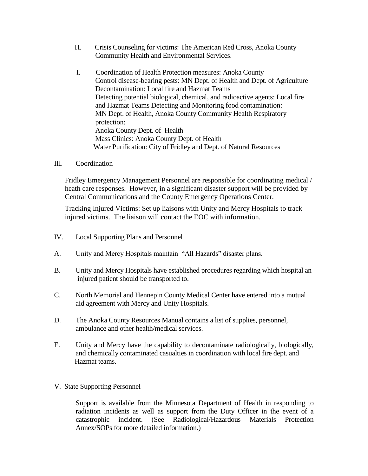- H. Crisis Counseling for victims: The American Red Cross, Anoka County Community Health and Environmental Services.
- I. Coordination of Health Protection measures: Anoka County Control disease-bearing pests: MN Dept. of Health and Dept. of Agriculture Decontamination: Local fire and Hazmat Teams Detecting potential biological, chemical, and radioactive agents: Local fire and Hazmat Teams Detecting and Monitoring food contamination: MN Dept. of Health, Anoka County Community Health Respiratory protection: Anoka County Dept. of Health Mass Clinics: Anoka County Dept. of Health Water Purification: City of Fridley and Dept. of Natural Resources
- III. Coordination

Fridley Emergency Management Personnel are responsible for coordinating medical / heath care responses. However, in a significant disaster support will be provided by Central Communications and the County Emergency Operations Center.

Tracking Injured Victims: Set up liaisons with Unity and Mercy Hospitals to track injured victims. The liaison will contact the EOC with information.

- IV. Local Supporting Plans and Personnel
- A. Unity and Mercy Hospitals maintain "All Hazards" disaster plans.
- B. Unity and Mercy Hospitals have established procedures regarding which hospital an injured patient should be transported to.
- C. North Memorial and Hennepin County Medical Center have entered into a mutual aid agreement with Mercy and Unity Hospitals.
- D. The Anoka County Resources Manual contains a list of supplies, personnel, ambulance and other health/medical services.
- E. Unity and Mercy have the capability to decontaminate radiologically, biologically, and chemically contaminated casualties in coordination with local fire dept. and Hazmat teams.
- V. State Supporting Personnel

Support is available from the Minnesota Department of Health in responding to radiation incidents as well as support from the Duty Officer in the event of a catastrophic incident. (See Radiological/Hazardous Materials Protection Annex/SOPs for more detailed information.)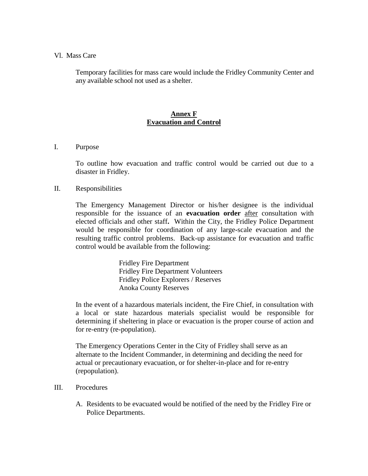#### Vl. Mass Care

Temporary facilities for mass care would include the Fridley Community Center and any available school not used as a shelter.

# **Annex F Evacuation and Control**

### I. Purpose

To outline how evacuation and traffic control would be carried out due to a disaster in Fridley.

#### II. Responsibilities

The Emergency Management Director or his/her designee is the individual responsible for the issuance of an **evacuation order** after consultation with elected officials and other staff**.** Within the City, the Fridley Police Department would be responsible for coordination of any large-scale evacuation and the resulting traffic control problems. Back-up assistance for evacuation and traffic control would be available from the following:

> Fridley Fire Department Fridley Fire Department Volunteers Fridley Police Explorers / Reserves Anoka County Reserves

In the event of a hazardous materials incident, the Fire Chief, in consultation with a local or state hazardous materials specialist would be responsible for determining if sheltering in place or evacuation is the proper course of action and for re-entry (re-population).

The Emergency Operations Center in the City of Fridley shall serve as an alternate to the Incident Commander, in determining and deciding the need for actual or precautionary evacuation, or for shelter-in-place and for re-entry (repopulation).

#### III. Procedures

A. Residents to be evacuated would be notified of the need by the Fridley Fire or Police Departments.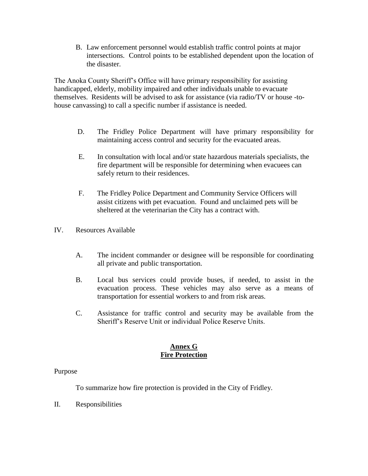B. Law enforcement personnel would establish traffic control points at major intersections. Control points to be established dependent upon the location of the disaster.

The Anoka County Sheriff's Office will have primary responsibility for assisting handicapped, elderly, mobility impaired and other individuals unable to evacuate themselves. Residents will be advised to ask for assistance (via radio/TV or house -tohouse canvassing) to call a specific number if assistance is needed.

- D. The Fridley Police Department will have primary responsibility for maintaining access control and security for the evacuated areas.
- E. In consultation with local and/or state hazardous materials specialists, the fire department will be responsible for determining when evacuees can safely return to their residences.
- F. The Fridley Police Department and Community Service Officers will assist citizens with pet evacuation. Found and unclaimed pets will be sheltered at the veterinarian the City has a contract with.
- IV. Resources Available
	- A. The incident commander or designee will be responsible for coordinating all private and public transportation.
	- B. Local bus services could provide buses, if needed, to assist in the evacuation process. These vehicles may also serve as a means of transportation for essential workers to and from risk areas.
	- C. Assistance for traffic control and security may be available from the Sheriff's Reserve Unit or individual Police Reserve Units.

# **Annex G Fire Protection**

### Purpose

To summarize how fire protection is provided in the City of Fridley.

II. Responsibilities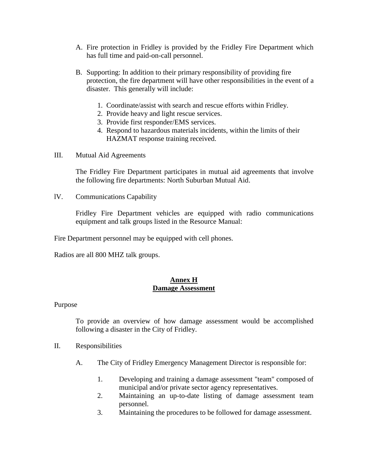- A. Fire protection in Fridley is provided by the Fridley Fire Department which has full time and paid-on-call personnel.
- B. Supporting: In addition to their primary responsibility of providing fire protection, the fire department will have other responsibilities in the event of a disaster. This generally will include:
	- 1. Coordinate/assist with search and rescue efforts within Fridley.
	- 2. Provide heavy and light rescue services.
	- 3. Provide first responder/EMS services.
	- 4. Respond to hazardous materials incidents, within the limits of their HAZMAT response training received.
- III. Mutual Aid Agreements

The Fridley Fire Department participates in mutual aid agreements that involve the following fire departments: North Suburban Mutual Aid.

lV. Communications Capability

Fridley Fire Department vehicles are equipped with radio communications equipment and talk groups listed in the Resource Manual:

Fire Department personnel may be equipped with cell phones.

Radios are all 800 MHZ talk groups.

### **Annex H Damage Assessment**

Purpose

To provide an overview of how damage assessment would be accomplished following a disaster in the City of Fridley.

- II. Responsibilities
	- A. The City of Fridley Emergency Management Director is responsible for:
		- 1. Developing and training a damage assessment "team" composed of municipal and/or private sector agency representatives.
		- 2. Maintaining an up-to-date listing of damage assessment team personnel.
		- 3. Maintaining the procedures to be followed for damage assessment.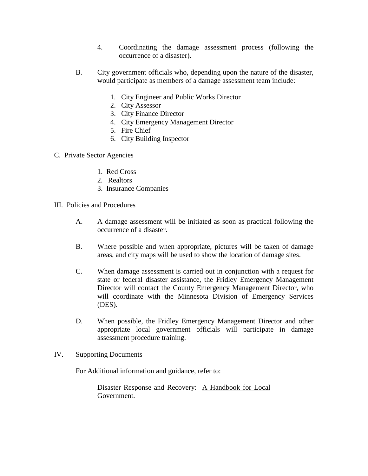- 4. Coordinating the damage assessment process (following the occurrence of a disaster).
- B. City government officials who, depending upon the nature of the disaster, would participate as members of a damage assessment team include:
	- 1. City Engineer and Public Works Director
	- 2. City Assessor
	- 3. City Finance Director
	- 4. City Emergency Management Director
	- 5. Fire Chief
	- 6. City Building Inspector
- C. Private Sector Agencies
	- 1. Red Cross
	- 2. Realtors
	- 3. Insurance Companies
- III. Policies and Procedures
	- A. A damage assessment will be initiated as soon as practical following the occurrence of a disaster.
	- B. Where possible and when appropriate, pictures will be taken of damage areas, and city maps will be used to show the location of damage sites.
	- C. When damage assessment is carried out in conjunction with a request for state or federal disaster assistance, the Fridley Emergency Management Director will contact the County Emergency Management Director, who will coordinate with the Minnesota Division of Emergency Services (DES).
	- D. When possible, the Fridley Emergency Management Director and other appropriate local government officials will participate in damage assessment procedure training.
- IV. Supporting Documents

For Additional information and guidance, refer to:

Disaster Response and Recovery: A Handbook for Local Government.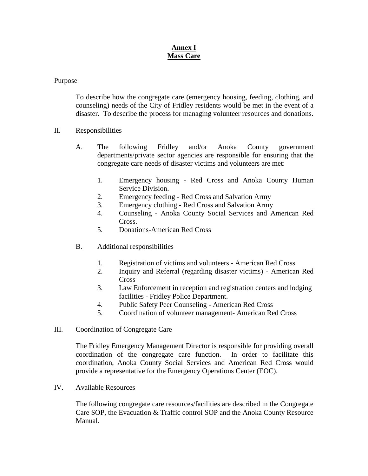# **Annex I Mass Care**

### Purpose

To describe how the congregate care (emergency housing, feeding, clothing, and counseling) needs of the City of Fridley residents would be met in the event of a disaster. To describe the process for managing volunteer resources and donations.

- II. Responsibilities
	- A. The following Fridley and/or Anoka County government departments/private sector agencies are responsible for ensuring that the congregate care needs of disaster victims and volunteers are met:
		- 1. Emergency housing Red Cross and Anoka County Human Service Division.
		- 2. Emergency feeding Red Cross and Salvation Army
		- 3. Emergency clothing Red Cross and Salvation Army
		- 4. Counseling Anoka County Social Services and American Red Cross.
		- 5. Donations-American Red Cross
	- B. Additional responsibilities
		- 1. Registration of victims and volunteers American Red Cross.
		- 2. Inquiry and Referral (regarding disaster victims) American Red Cross
		- 3. Law Enforcement in reception and registration centers and lodging facilities - Fridley Police Department.
		- 4. Public Safety Peer Counseling American Red Cross
		- 5. Coordination of volunteer management- American Red Cross
- III. Coordination of Congregate Care

The Fridley Emergency Management Director is responsible for providing overall coordination of the congregate care function. In order to facilitate this coordination, Anoka County Social Services and American Red Cross would provide a representative for the Emergency Operations Center (EOC).

IV. Available Resources

The following congregate care resources/facilities are described in the Congregate Care SOP, the Evacuation & Traffic control SOP and the Anoka County Resource Manual.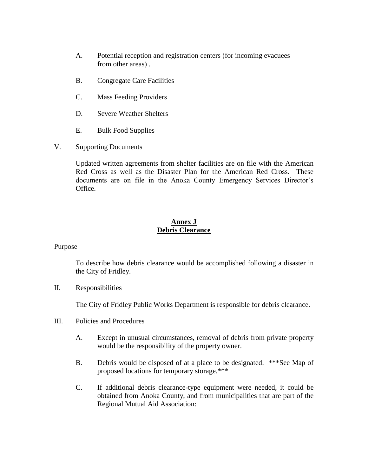- A. Potential reception and registration centers (for incoming evacuees from other areas) .
- B. Congregate Care Facilities
- C. Mass Feeding Providers
- D. Severe Weather Shelters
- E. Bulk Food Supplies
- V. Supporting Documents

Updated written agreements from shelter facilities are on file with the American Red Cross as well as the Disaster Plan for the American Red Cross. These documents are on file in the Anoka County Emergency Services Director's Office.

### **Annex J Debris Clearance**

Purpose

To describe how debris clearance would be accomplished following a disaster in the City of Fridley.

II. Responsibilities

The City of Fridley Public Works Department is responsible for debris clearance.

- III. Policies and Procedures
	- A. Except in unusual circumstances, removal of debris from private property would be the responsibility of the property owner.
	- B. Debris would be disposed of at a place to be designated. \*\*\*See Map of proposed locations for temporary storage.\*\*\*
	- C. If additional debris clearance-type equipment were needed, it could be obtained from Anoka County, and from municipalities that are part of the Regional Mutual Aid Association: